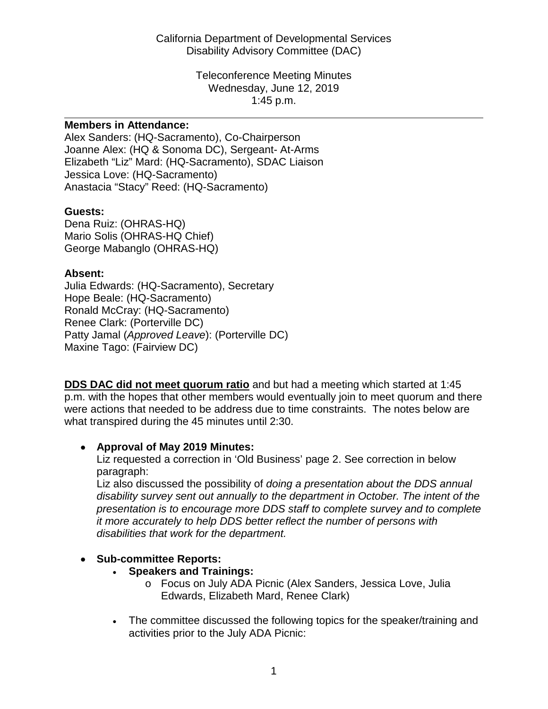Wednesday, June 12, 2019 1:45 p.m. Teleconference Meeting Minutes

#### **Members in Attendance:**

 Joanne Alex: (HQ & Sonoma DC), Sergeant- At-Arms Alex Sanders: (HQ-Sacramento), Co-Chairperson Elizabeth "Liz" Mard: (HQ-Sacramento), SDAC Liaison Jessica Love: (HQ-Sacramento) Anastacia "Stacy" Reed: (HQ-Sacramento)

## **Guests:**

 Mario Solis (OHRAS-HQ Chief) Dena Ruiz: (OHRAS-HQ) George Mabanglo (OHRAS-HQ)

## **Absent:**

Julia Edwards: (HQ-Sacramento), Secretary Hope Beale: (HQ-Sacramento) Ronald McCray: (HQ-Sacramento) Renee Clark: (Porterville DC) Patty Jamal (*Approved Leave*): (Porterville DC) Maxine Tago: (Fairview DC)

 p.m. with the hopes that other members would eventually join to meet quorum and there **DDS DAC did not meet quorum ratio** and but had a meeting which started at 1:45 were actions that needed to be address due to time constraints. The notes below are what transpired during the 45 minutes until 2:30.

# • **Approval of May 2019 Minutes:**

Liz requested a correction in 'Old Business' page 2. See correction in below paragraph:

Liz also discussed the possibility of *doing a presentation about the DDS annual disability survey sent out annually to the department in October. The intent of the presentation is to encourage more DDS staff to complete survey and to complete it more accurately to help DDS better reflect the number of persons with disabilities that work for the department.* 

# • **Sub-committee Reports:**

- **Speakers and Trainings:** 
	- o Focus on July ADA Picnic (Alex Sanders, Jessica Love, Julia Edwards, Elizabeth Mard, Renee Clark)
- The committee discussed the following topics for the speaker/training and activities prior to the July ADA Picnic: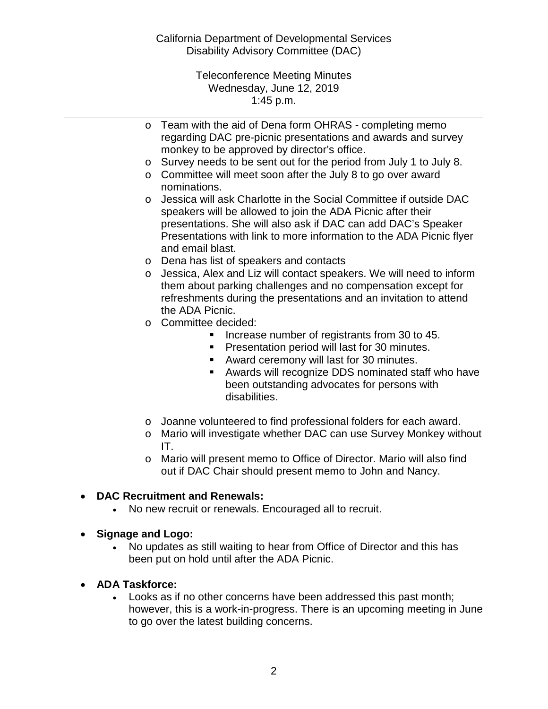Disability Advisory Committee (DAC) California Department of Developmental Services

> Wednesday, June 12, 2019 1:45 p.m. Teleconference Meeting Minutes

o Team with the aid of Dena form OHRAS - completing memo regarding DAC pre-picnic presentations and awards and survey monkey to be approved by director's office.

- o Survey needs to be sent out for the period from July 1 to July 8.
- nominations. o Committee will meet soon after the July 8 to go over award
- speakers will be allowed to join the ADA Picnic after their Presentations with link to more information to the ADA Picnic flyer and email blast. o Jessica will ask Charlotte in the Social Committee if outside DAC presentations. She will also ask if DAC can add DAC's Speaker
- o Dena has list of speakers and contacts
- o Jessica, Alex and Liz will contact speakers. We will need to inform them about parking challenges and no compensation except for refreshments during the presentations and an invitation to attend the ADA Picnic.
- o Committee decided:
	- **Increase number of registrants from 30 to 45.**
	- **Presentation period will last for 30 minutes.**
	- **Award ceremony will last for 30 minutes.**
	- Awards will recognize DDS nominated staff who have been outstanding advocates for persons with disabilities.
- o Joanne volunteered to find professional folders for each award.
- o Mario will investigate whether DAC can use Survey Monkey without IT.
- out if DAC Chair should present memo to John and Nancy. o Mario will present memo to Office of Director. Mario will also find

#### • **DAC Recruitment and Renewals:**

- No new recruit or renewals. Encouraged all to recruit.
- **Signage and Logo:** 
	- No updates as still waiting to hear from Office of Director and this has been put on hold until after the ADA Picnic.
- **ADA Taskforce:** 
	- • Looks as if no other concerns have been addressed this past month; however, this is a work-in-progress. There is an upcoming meeting in June to go over the latest building concerns.